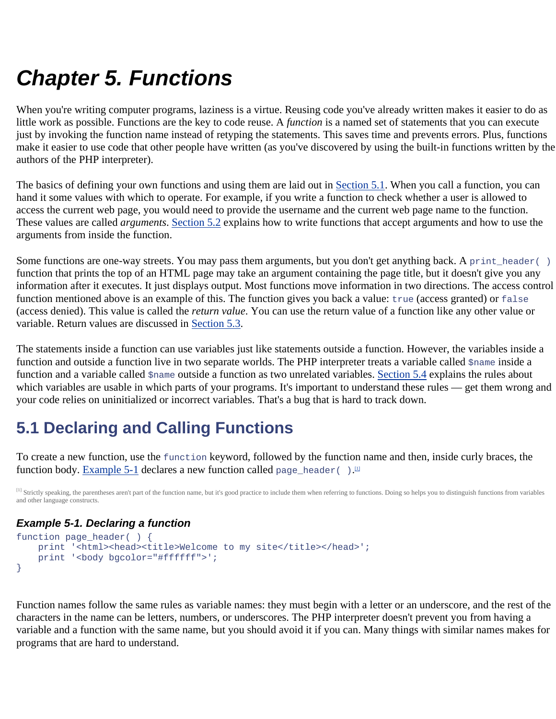When you're writing computer programs, laziness is a virtue. Reusing code you've already written makes it easier to do as little work as possible. Functions are the key to code reuse. A *function* is a named set of statements that you can execute just by invoking the function name instead of retyping the statements. This saves time and prevents errors. Plus, functions make it easier to use code that other people have written (as you've discovered by using the built-in functions written by the authors of the PHP interpreter).

The basics of defining your own functions and using them are laid out in Section 5.1. When you call a function, you can hand it some values with which to operate. For example, if you write a function to check whether a user is allowed to access the current web page, you would need to provide the username and the current web page name to the function. These values are called *arguments*. Section 5.2 explains how to write functions that accept arguments and how to use the arguments from inside the function.

Some functions are one-way streets. You may pass them arguments, but you don't get anything back. A print header () function that prints the top of an HTML page may take an argument containing the page title, but it doesn't give you any information after it executes. It just displays output. Most functions move information in two directions. The access control function mentioned above is an example of this. The function gives you back a value: true (access granted) or false (access denied). This value is called the *return value*. You can use the return value of a function like any other value or variable. Return values are discussed in Section 5.3.

The statements inside a function can use variables just like statements outside a function. However, the variables inside a function and outside a function live in two separate worlds. The PHP interpreter treats a variable called \$name inside a function and a variable called  $\frac{1}{2}$  name outside a function as two unrelated variables. Section 5.4 explains the rules about which variables are usable in which parts of your programs. It's important to understand these rules — get them wrong and your code relies on uninitialized or incorrect variables. That's a bug that is hard to track down.

# **5.1 Declaring and Calling Functions**

To create a new function, use the function keyword, followed by the function name and then, inside curly braces, the function body. **Example 5-1** declares a new function called page\_header().<sup>[1]</sup>

<sup>[1]</sup> Strictly speaking, the parentheses aren't part of the function name, but it's good practice to include them when referring to functions. Doing so helps you to distinguish functions from variables and other language constructs.

### *Example 5-1. Declaring a function*

```
function page header( ) {
   print '<html><head><title>Welcome to my site</title></head>';
   print '<body bgcolor="#ffffff">';
}
```
Function names follow the same rules as variable names: they must begin with a letter or an underscore, and the rest of the characters in the name can be letters, numbers, or underscores. The PHP interpreter doesn't prevent you from having a variable and a function with the same name, but you should avoid it if you can. Many things with similar names makes for programs that are hard to understand.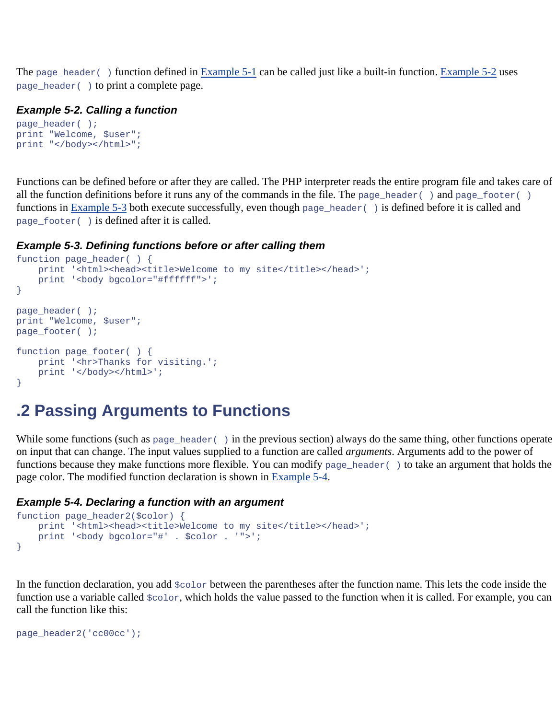The page\_header() function defined in Example 5-1 can be called just like a built-in function. Example 5-2 uses page header( ) to print a complete page.

#### *Example 5-2. Calling a function*

```
page header( );
print "Welcome, $user"; 
print "</body></html>";
```
Functions can be defined before or after they are called. The PHP interpreter reads the entire program file and takes care of all the function definitions before it runs any of the commands in the file. The  $page\_header()$  and  $page\_footer()$ functions in Example 5-3 both execute successfully, even though page\_header() is defined before it is called and page\_footer( ) is defined after it is called.

#### *Example 5-3. Defining functions before or after calling them*

```
function page_header( ) { 
    print '<html><head><title>Welcome to my site</title></head>';
    print '<br/>body bgcolor="#ffffff">';
} 
page header( );
print "Welcome, $user"; 
page_footer( ); 
function page footer( ) {
     print '<hr>Thanks for visiting.'; 
     print '</body></html>'; 
}
```
### **.2 Passing Arguments to Functions**

While some functions (such as  $page\_header()$  in the previous section) always do the same thing, other functions operate on input that can change. The input values supplied to a function are called *arguments*. Arguments add to the power of functions because they make functions more flexible. You can modify page\_header() to take an argument that holds the page color. The modified function declaration is shown in Example 5-4.

#### *Example 5-4. Declaring a function with an argument*

```
function page_header2($color) { 
    print '<html><head><title>Welcome to my site</title></head>';
    print '<br/>body bgcolor="#' . $color . '">';
}
```
In the function declaration, you add  $\frac{1}{5}$ color between the parentheses after the function name. This lets the code inside the function use a variable called  $\frac{1}{5}$ color, which holds the value passed to the function when it is called. For example, you can call the function like this:

page\_header2('cc00cc');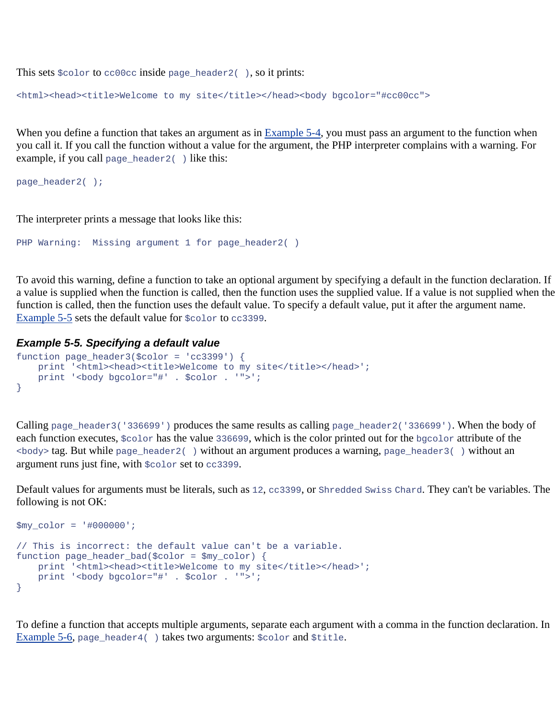This sets  $\frac{1}{2}$  color to cc00cc inside page\_header2(), so it prints:

```
<html><head><title>Welcome to my site</title></head><br/>>body bgcolor="#cc00cc">
```
When you define a function that takes an argument as in **Example 5-4**, you must pass an argument to the function when you call it. If you call the function without a value for the argument, the PHP interpreter complains with a warning. For example, if you call  $page\_header2()$  like this:

page\_header2( );

The interpreter prints a message that looks like this:

```
PHP Warning: Missing argument 1 for page_header2( )
```
To avoid this warning, define a function to take an optional argument by specifying a default in the function declaration. If a value is supplied when the function is called, then the function uses the supplied value. If a value is not supplied when the function is called, then the function uses the default value. To specify a default value, put it after the argument name. Example 5-5 sets the default value for  $\frac{20}{3}$  color to cc3399.

#### *Example 5-5. Specifying a default value*

```
function page header3($color = 'cc3399') {
    print '<html><head><title>Welcome to my site</title></head>'; 
    print '<body bgcolor="#' . $color . '">'; 
}
```
Calling page\_header3('336699') produces the same results as calling page\_header2('336699'). When the body of each function executes, \$color has the value 336699, which is the color printed out for the bgcolor attribute of the <body> tag. But while page\_header2( ) without an argument produces a warning, page\_header3( ) without an argument runs just fine, with \$color set to cc3399.

Default values for arguments must be literals, such as 12, cc3399, or Shredded Swiss Chard. They can't be variables. The following is not OK:

```
$my color = '#000000';// This is incorrect: the default value can't be a variable. 
function page header bad($color = $my color) {
    print '<html><head><title>Welcome to my site</title></head>'; 
   print '<br/>body bgcolor="#' . $color . '">';
}
```
To define a function that accepts multiple arguments, separate each argument with a comma in the function declaration. In Example 5-6, page\_header4() takes two arguments: \$color and \$title.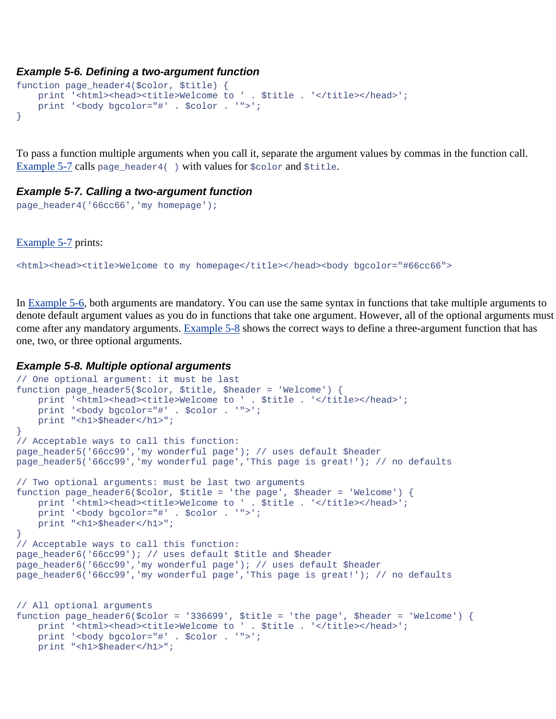#### *Example 5-6. Defining a two-argument function*

```
function page_header4($color, $title) { 
     print '<html><head><title>Welcome to ' . $title . '</title></head>'; 
    print '<br/>body bgcolor="#' . $color . '">';
}
```
To pass a function multiple arguments when you call it, separate the argument values by commas in the function call. Example 5-7 calls page\_header4() with values for \$color and \$title.

#### *Example 5-7. Calling a two-argument function*

page\_header4('66cc66','my homepage');

Example 5-7 prints:

<html><head><title>Welcome to my homepage</title></head><body bgcolor="#66cc66">

In Example 5-6, both arguments are mandatory. You can use the same syntax in functions that take multiple arguments to denote default argument values as you do in functions that take one argument. However, all of the optional arguments must come after any mandatory arguments. Example 5-8 shows the correct ways to define a three-argument function that has one, two, or three optional arguments.

#### *Example 5-8. Multiple optional arguments*

```
// One optional argument: it must be last 
function page_header5($color, $title, $header = 'Welcome') { 
     print '<html><head><title>Welcome to ' . $title . '</title></head>'; 
    print '<body bgcolor="#' . $color . '">';
     print "<h1>$header</h1>"; 
} 
// Acceptable ways to call this function: 
page_header5('66cc99','my wonderful page'); // uses default $header 
page_header5('66cc99','my wonderful page','This page is great!'); // no defaults 
// Two optional arguments: must be last two arguments 
function page_header6($color, $title = 'the page', $header = 'Welcome') { 
    print '<html><head><title>Welcome to ' . $title . '</title></head>';
    print '<body bgcolor="#' . $color . '">';
     print "<h1>$header</h1>"; 
} 
// Acceptable ways to call this function: 
page_header6('66cc99'); // uses default $title and $header 
page_header6('66cc99','my wonderful page'); // uses default $header 
page_header6('66cc99','my wonderful page','This page is great!'); // no defaults 
// All optional arguments 
function page header6($color = '336699', $title = 'the page', $header = 'Welcome') {
    print '<html><head><title>Welcome to ' . $title . '</title></head>';
     print '<body bgcolor="#' . $color . '">'; 
     print "<h1>$header</h1>";
```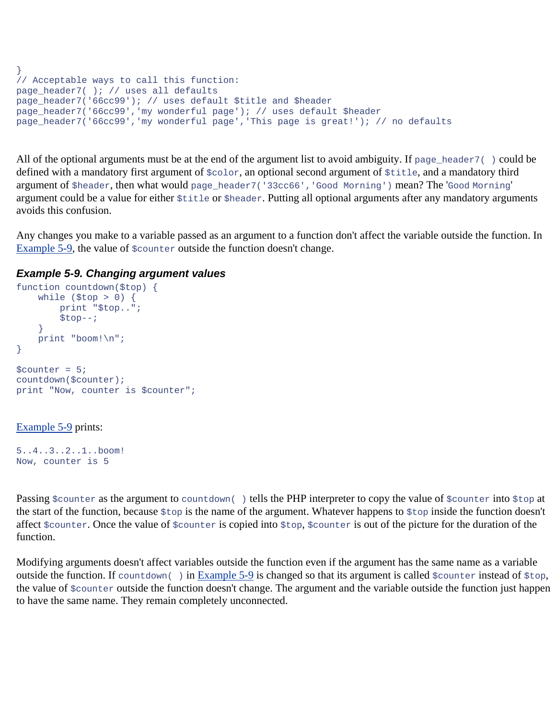```
} 
// Acceptable ways to call this function: 
page_header7( ); // uses all defaults 
page_header7('66cc99'); // uses default $title and $header 
page_header7('66cc99','my wonderful page'); // uses default $header 
page header7('66cc99','my wonderful page','This page is great!'); // no defaults
```
All of the optional arguments must be at the end of the argument list to avoid ambiguity. If  $page\_header$  () could be defined with a mandatory first argument of  $\text{\$color}$  color, an optional second argument of  $\text{\$color}$ title, and a mandatory third argument of \$header, then what would page\_header7('33cc66','Good Morning') mean? The 'Good Morning' argument could be a value for either  $\text{stitle}$  or  $\text{Sheader}$ . Putting all optional arguments after any mandatory arguments avoids this confusion.

Any changes you make to a variable passed as an argument to a function don't affect the variable outside the function. In Example 5-9, the value of  $\frac{1}{2}$  counter outside the function doesn't change.

#### *Example 5-9. Changing argument values*

```
function countdown($top) { 
    while (\text{stop} > 0) {
         print "$top.."; 
         $top--; 
     } 
     print "boom!\n"; 
} 
normaler = 5;countdown($counter); 
print "Now, counter is $counter";
```
#### Example 5-9 prints:

5..4..3..2..1..boom! Now, counter is 5

Passing \$counter as the argument to countdown() tells the PHP interpreter to copy the value of \$counter into \$top at the start of the function, because \$top is the name of the argument. Whatever happens to \$top inside the function doesn't affect \$counter. Once the value of \$counter is copied into \$top, \$counter is out of the picture for the duration of the function.

Modifying arguments doesn't affect variables outside the function even if the argument has the same name as a variable outside the function. If countdown() in Example 5-9 is changed so that its argument is called  $\frac{1}{5}$ counter instead of  $\frac{1}{5}$ top, the value of  $\frac{1}{2}$  counter outside the function doesn't change. The argument and the variable outside the function just happen to have the same name. They remain completely unconnected.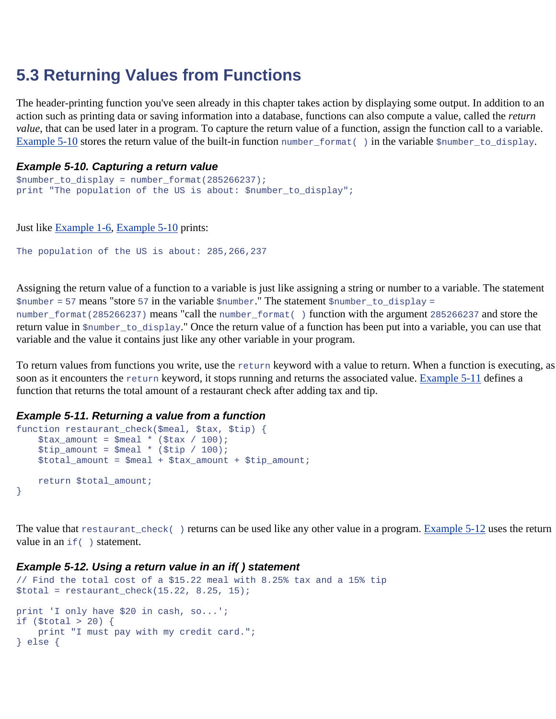### **5.3 Returning Values from Functions**

The header-printing function you've seen already in this chapter takes action by displaying some output. In addition to an action such as printing data or saving information into a database, functions can also compute a value, called the *return value*, that can be used later in a program. To capture the return value of a function, assign the function call to a variable. Example 5-10 stores the return value of the built-in function number\_format() in the variable  $\frac{1}{2}$  number\_to\_display.

#### *Example 5-10. Capturing a return value*

```
$number to display = number format(285266237);
print "The population of the US is about: $number_to_display";
```
Just like **Example 1-6**, Example 5-10 prints:

```
The population of the US is about: 285,266,237
```
Assigning the return value of a function to a variable is just like assigning a string or number to a variable. The statement \$number = 57 means "store 57 in the variable \$number." The statement \$number\_to\_display = number\_format(285266237) means "call the number\_format() function with the argument 285266237 and store the return value in \$number\_to\_display." Once the return value of a function has been put into a variable, you can use that variable and the value it contains just like any other variable in your program.

To return values from functions you write, use the return keyword with a value to return. When a function is executing, as soon as it encounters the return keyword, it stops running and returns the associated value. Example 5-11 defines a function that returns the total amount of a restaurant check after adding tax and tip.

#### *Example 5-11. Returning a value from a function*

```
function restaurant check($meal, $tax, $tip) {
    \frac{3}{4}tax_amount = \frac{3}{4}meal * (\frac{3}{4}tax / 100);
    $tip\_amount = $meal * ($tip / 100); $total_amount = $meal + $tax_amount + $tip_amount; 
     return $total_amount; 
}
```
The value that restaurant check() returns can be used like any other value in a program. Example  $5-12$  uses the return value in an  $if( )$  statement.

#### *Example 5-12. Using a return value in an if( ) statement*

```
// Find the total cost of a $15.22 meal with 8.25% tax and a 15% tip 
$total = restaurant_{check(15.22, 8.25, 15)};
print 'I only have $20 in cash, so...'; 
if (\text{Stotal} > 20) {
     print "I must pay with my credit card."; 
} else {
```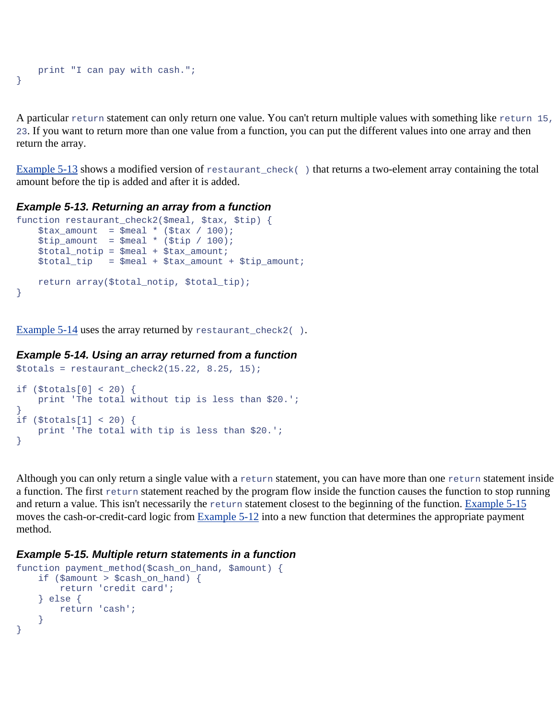```
 print "I can pay with cash."; 
}
```
A particular return statement can only return one value. You can't return multiple values with something like return 15, 23. If you want to return more than one value from a function, you can put the different values into one array and then return the array.

Example 5-13 shows a modified version of restaurant\_check() that returns a two-element array containing the total amount before the tip is added and after it is added.

#### *Example 5-13. Returning an array from a function*

```
function restaurant check2($meal, $tax, $tip) {
    \frac{1}{2}tax_amount = \frac{2}{3}meal * (\frac{2}{3}tax / 100);
    $tip\_amount = $meal * ($tip / 100);$total\;notip = $meal + $tax\;amount;$total\_tip = $meal + $tax\_amount + $tip\_amount; return array($total_notip, $total_tip); 
}
```
**Example 5-14 uses the array returned by** restaurant\_check2().

#### *Example 5-14. Using an array returned from a function*

```
$totals = restaurant check2(15.22, 8.25, 15);if ($totals[0] < 20) { 
     print 'The total without tip is less than $20.'; 
} 
if ($totals[1] < 20) { 
    print 'The total with tip is less than $20.'; 
}
```
Although you can only return a single value with a return statement, you can have more than one return statement inside a function. The first return statement reached by the program flow inside the function causes the function to stop running and return a value. This isn't necessarily the return statement closest to the beginning of the function. Example 5-15 moves the cash-or-credit-card logic from Example 5-12 into a new function that determines the appropriate payment method.

#### *Example 5-15. Multiple return statements in a function*

```
function payment method($cash_on_hand, $amount) {
     if ($amount > $cash_on_hand) { 
         return 'credit card'; 
     } else { 
         return 'cash'; 
 } 
}
```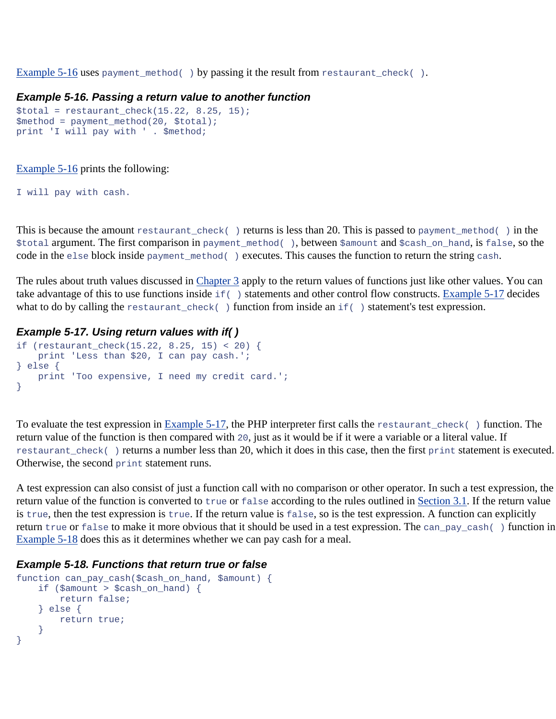Example 5-16 uses payment\_method() by passing it the result from restaurant\_check().

#### *Example 5-16. Passing a return value to another function*

```
$total = restaurant check(15.22, 8.25, 15);$method = payment method(20, Stotal);print 'I will pay with ' . $method;
```
Example 5-16 prints the following:

I will pay with cash.

This is because the amount restaurant check() returns is less than 20. This is passed to payment method() in the \$total argument. The first comparison in payment\_method( ), between \$amount and \$cash\_on\_hand, is false, so the code in the else block inside payment method() executes. This causes the function to return the string cash.

The rules about truth values discussed in Chapter 3 apply to the return values of functions just like other values. You can take advantage of this to use functions inside if () statements and other control flow constructs. Example 5-17 decides what to do by calling the restaurant\_check() function from inside an if() statement's test expression.

#### *Example 5-17. Using return values with if( )*

```
if (restaurant check(15.22, 8.25, 15) < 20) {
     print 'Less than $20, I can pay cash.'; 
} else { 
     print 'Too expensive, I need my credit card.'; 
}
```
To evaluate the test expression in Example 5-17, the PHP interpreter first calls the restaurant\_check( ) function. The return value of the function is then compared with 20, just as it would be if it were a variable or a literal value. If restaurant\_check( ) returns a number less than 20, which it does in this case, then the first print statement is executed. Otherwise, the second print statement runs.

A test expression can also consist of just a function call with no comparison or other operator. In such a test expression, the return value of the function is converted to true or false according to the rules outlined in Section 3.1. If the return value is true, then the test expression is true. If the return value is false, so is the test expression. A function can explicitly return true or false to make it more obvious that it should be used in a test expression. The can\_pay\_cash() function in Example 5-18 does this as it determines whether we can pay cash for a meal.

#### *Example 5-18. Functions that return true or false*

```
function can_pay_cash($cash_on_hand, $amount) { 
     if ($amount > $cash_on_hand) { 
         return false; 
     } else { 
        return true; 
 } 
}
```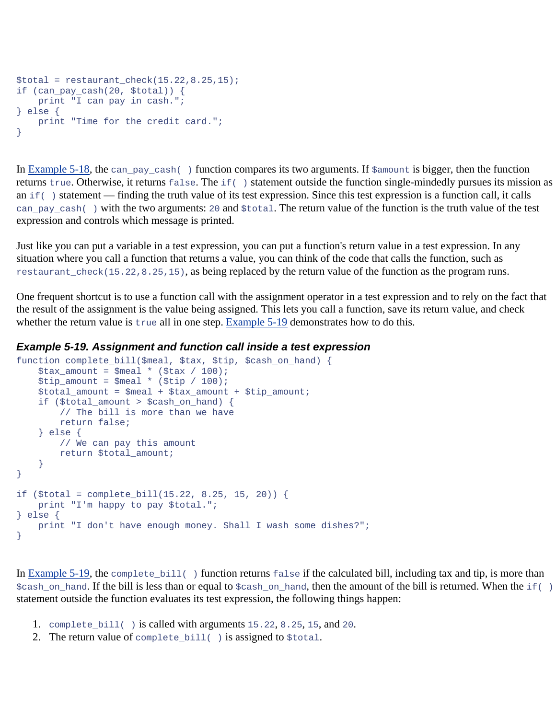```
$total = restaurant_{check(15.22,8.25,15)};if (can_pay_cash(20, $total)) { 
    print "I can pay in cash."; 
} else { 
    print "Time for the credit card."; 
}
```
In Example 5-18, the can\_pay\_cash() function compares its two arguments. If  $\frac{1}{2}$  amount is bigger, then the function returns true. Otherwise, it returns false. The if() statement outside the function single-mindedly pursues its mission as an  $if( )$  statement — finding the truth value of its test expression. Since this test expression is a function call, it calls can\_pay\_cash( ) with the two arguments: 20 and \$total. The return value of the function is the truth value of the test expression and controls which message is printed.

Just like you can put a variable in a test expression, you can put a function's return value in a test expression. In any situation where you call a function that returns a value, you can think of the code that calls the function, such as restaurant\_check(15.22,8.25,15), as being replaced by the return value of the function as the program runs.

One frequent shortcut is to use a function call with the assignment operator in a test expression and to rely on the fact that the result of the assignment is the value being assigned. This lets you call a function, save its return value, and check whether the return value is  $true$  all in one step. Example  $5-19$  demonstrates how to do this.

#### *Example 5-19. Assignment and function call inside a test expression*

```
function complete bill($meal, $tax, $tip, $cash_on_hand) {
    \text{Stax amount} = \text{Smeal *} (\text{Stax} / 100);$tip amount = $meal * ($tip / 100);
     $total_amount = $meal + $tax_amount + $tip_amount; 
     if ($total_amount > $cash_on_hand) { 
         // The bill is more than we have 
         return false; 
     } else { 
         // We can pay this amount 
         return $total_amount; 
     } 
} 
if ($total = complete_bill(15.22, 8.25, 15, 20)) { 
    print "I'm happy to pay $total."; 
} else { 
     print "I don't have enough money. Shall I wash some dishes?"; 
}
```
In Example 5-19, the complete\_bill() function returns false if the calculated bill, including tax and tip, is more than \$cash\_on\_hand. If the bill is less than or equal to \$cash\_on\_hand, then the amount of the bill is returned. When the if() statement outside the function evaluates its test expression, the following things happen:

- 1. complete\_bill( ) is called with arguments 15.22, 8.25, 15, and 20.
- 2. The return value of complete\_bill() is assigned to \$total.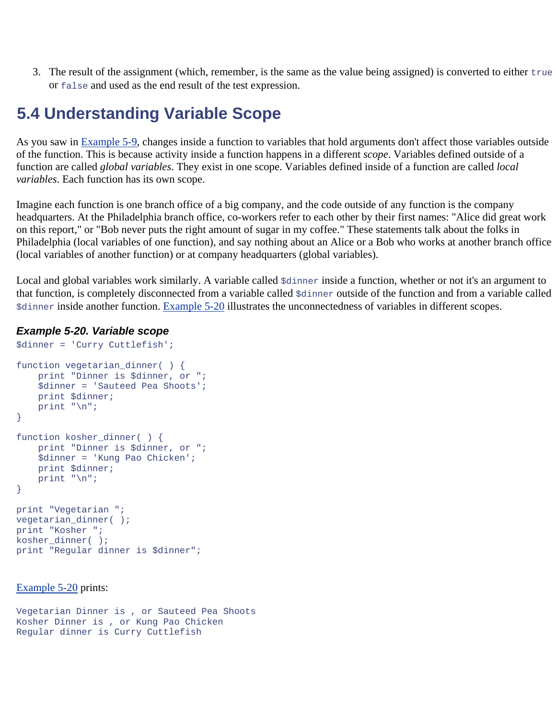3. The result of the assignment (which, remember, is the same as the value being assigned) is converted to either  $true$ or false and used as the end result of the test expression.

### **5.4 Understanding Variable Scope**

As you saw in **Example 5-9**, changes inside a function to variables that hold arguments don't affect those variables outside of the function. This is because activity inside a function happens in a different *scope*. Variables defined outside of a function are called *global variables*. They exist in one scope. Variables defined inside of a function are called *local variables*. Each function has its own scope.

Imagine each function is one branch office of a big company, and the code outside of any function is the company headquarters. At the Philadelphia branch office, co-workers refer to each other by their first names: "Alice did great work on this report," or "Bob never puts the right amount of sugar in my coffee." These statements talk about the folks in Philadelphia (local variables of one function), and say nothing about an Alice or a Bob who works at another branch office (local variables of another function) or at company headquarters (global variables).

Local and global variables work similarly. A variable called  $\frac{1}{2}$  called  $\frac{1}{2}$  and function, whether or not it's an argument to that function, is completely disconnected from a variable called \$dinner outside of the function and from a variable called \$dinner inside another function. Example 5-20 illustrates the unconnectedness of variables in different scopes.

#### *Example 5-20. Variable scope*

```
$dinner = 'Curry Cuttlefish'; 
function vegetarian dinner( ) {
     print "Dinner is $dinner, or "; 
     $dinner = 'Sauteed Pea Shoots'; 
     print $dinner; 
     print "\n"; 
} 
function kosher dinner( ) {
     print "Dinner is $dinner, or "; 
     $dinner = 'Kung Pao Chicken'; 
     print $dinner; 
     print "\n"; 
} 
print "Vegetarian "; 
vegetarian dinner( );
print "Kosher "; 
kosher_dinner( ); 
print "Regular dinner is $dinner";
```
#### Example 5-20 prints:

Vegetarian Dinner is , or Sauteed Pea Shoots Kosher Dinner is , or Kung Pao Chicken Regular dinner is Curry Cuttlefish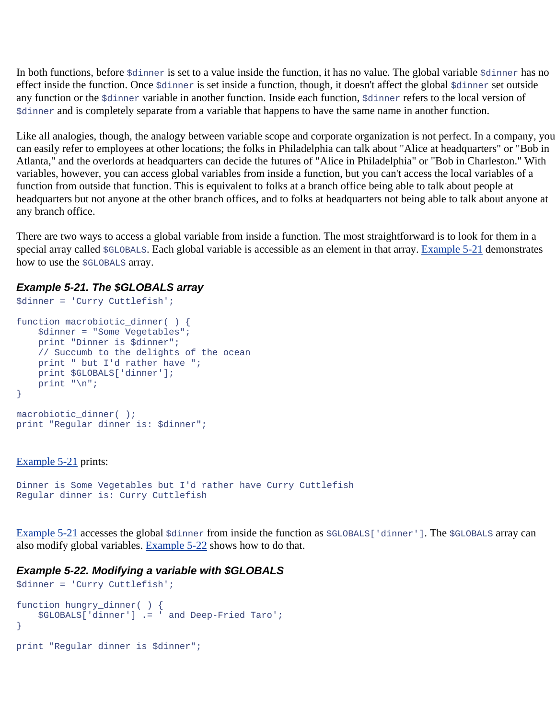In both functions, before  $\sin$ ner is set to a value inside the function, it has no value. The global variable  $\sin$ ner has no effect inside the function. Once  $\sin n$  is set inside a function, though, it doesn't affect the global  $\sin n$  set outside any function or the \$dinner variable in another function. Inside each function, \$dinner refers to the local version of \$dinner and is completely separate from a variable that happens to have the same name in another function.

Like all analogies, though, the analogy between variable scope and corporate organization is not perfect. In a company, you can easily refer to employees at other locations; the folks in Philadelphia can talk about "Alice at headquarters" or "Bob in Atlanta," and the overlords at headquarters can decide the futures of "Alice in Philadelphia" or "Bob in Charleston." With variables, however, you can access global variables from inside a function, but you can't access the local variables of a function from outside that function. This is equivalent to folks at a branch office being able to talk about people at headquarters but not anyone at the other branch offices, and to folks at headquarters not being able to talk about anyone at any branch office.

There are two ways to access a global variable from inside a function. The most straightforward is to look for them in a special array called \$GLOBALS. Each global variable is accessible as an element in that array. Example 5-21 demonstrates how to use the \$GLOBALS array.

#### *Example 5-21. The \$GLOBALS array*

```
$dinner = 'Curry Cuttlefish'; 
function macrobiotic dinner( ) {
     $dinner = "Some Vegetables"; 
     print "Dinner is $dinner"; 
     // Succumb to the delights of the ocean 
     print " but I'd rather have "; 
     print $GLOBALS['dinner']; 
     print "\n"; 
} 
macrobiotic_dinner( ); 
print "Regular dinner is: $dinner";
```
#### Example 5-21 prints:

```
Dinner is Some Vegetables but I'd rather have Curry Cuttlefish 
Regular dinner is: Curry Cuttlefish
```
Example 5-21 accesses the global sdinner from inside the function as sGLOBALS['dinner']. The \$GLOBALS array can also modify global variables. Example 5-22 shows how to do that.

#### *Example 5-22. Modifying a variable with \$GLOBALS*

```
$dinner = 'Curry Cuttlefish'; 
function hungry dinner( ) {
     $GLOBALS['dinner'] .= ' and Deep-Fried Taro'; 
} 
print "Regular dinner is $dinner";
```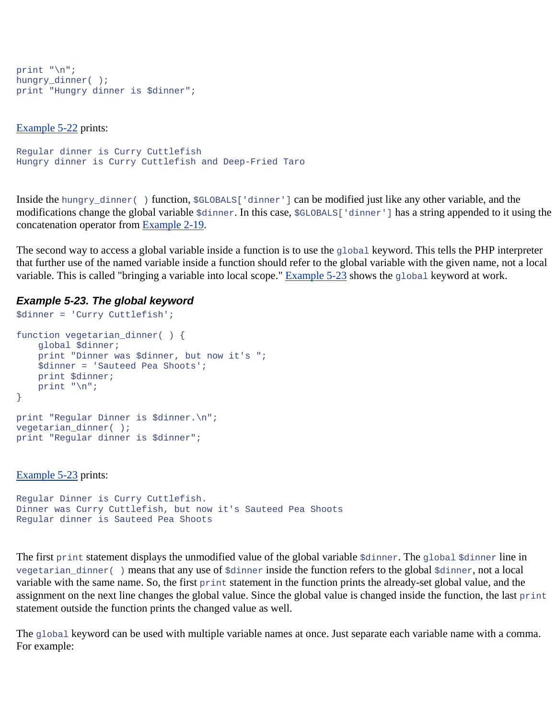```
print "\n"; 
hungry_dinner( ); 
print "Hungry dinner is $dinner";
```
Example 5-22 prints:

```
Regular dinner is Curry Cuttlefish 
Hungry dinner is Curry Cuttlefish and Deep-Fried Taro
```
Inside the hungry\_dinner( ) function, \$GLOBALS['dinner'] can be modified just like any other variable, and the modifications change the global variable \$dinner. In this case, \$GLOBALS['dinner'] has a string appended to it using the concatenation operator from Example 2-19.

The second way to access a global variable inside a function is to use the global keyword. This tells the PHP interpreter that further use of the named variable inside a function should refer to the global variable with the given name, not a local variable. This is called "bringing a variable into local scope." Example 5-23 shows the global keyword at work.

#### *Example 5-23. The global keyword*

```
$dinner = 'Curry Cuttlefish'; 
function vegetarian_dinner( ) { 
     global $dinner; 
     print "Dinner was $dinner, but now it's "; 
     $dinner = 'Sauteed Pea Shoots'; 
     print $dinner; 
   print "\n\cdot";
} 
print "Regular Dinner is $dinner.\n"; 
vegetarian_dinner( ); 
print "Regular dinner is $dinner";
```
#### Example 5-23 prints:

```
Regular Dinner is Curry Cuttlefish. 
Dinner was Curry Cuttlefish, but now it's Sauteed Pea Shoots 
Regular dinner is Sauteed Pea Shoots
```
The first print statement displays the unmodified value of the global variable \$dinner. The global \$dinner line in vegetarian\_dinner() means that any use of \$dinner inside the function refers to the global \$dinner, not a local variable with the same name. So, the first print statement in the function prints the already-set global value, and the assignment on the next line changes the global value. Since the global value is changed inside the function, the last print statement outside the function prints the changed value as well.

The global keyword can be used with multiple variable names at once. Just separate each variable name with a comma. For example: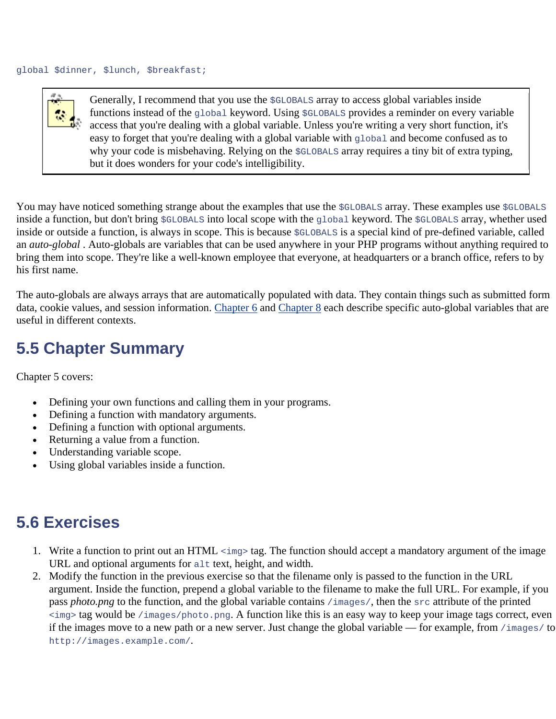

Generally, I recommend that you use the \$GLOBALS array to access global variables inside functions instead of the global keyword. Using \$GLOBALS provides a reminder on every variable access that you're dealing with a global variable. Unless you're writing a very short function, it's easy to forget that you're dealing with a global variable with global and become confused as to why your code is misbehaving. Relying on the  $\beta$ GLOBALS array requires a tiny bit of extra typing, but it does wonders for your code's intelligibility.

You may have noticed something strange about the examples that use the \$GLOBALS array. These examples use \$GLOBALS inside a function, but don't bring \$GLOBALS into local scope with the global keyword. The \$GLOBALS array, whether used inside or outside a function, is always in scope. This is because \$GLOBALS is a special kind of pre-defined variable, called an *auto-global* . Auto-globals are variables that can be used anywhere in your PHP programs without anything required to bring them into scope. They're like a well-known employee that everyone, at headquarters or a branch office, refers to by his first name.

The auto-globals are always arrays that are automatically populated with data. They contain things such as submitted form data, cookie values, and session information. Chapter 6 and Chapter 8 each describe specific auto-global variables that are useful in different contexts.

## **5.5 Chapter Summary**

Chapter 5 covers:

- Defining your own functions and calling them in your programs.
- Defining a function with mandatory arguments.
- Defining a function with optional arguments.
- Returning a value from a function.
- Understanding variable scope.
- Using global variables inside a function.

## **5.6 Exercises**

- 1. Write a function to print out an HTML <img> tag. The function should accept a mandatory argument of the image URL and optional arguments for alt text, height, and width.
- 2. Modify the function in the previous exercise so that the filename only is passed to the function in the URL argument. Inside the function, prepend a global variable to the filename to make the full URL. For example, if you pass *photo.png* to the function, and the global variable contains /images/, then the src attribute of the printed <img> tag would be /images/photo.png. A function like this is an easy way to keep your image tags correct, even if the images move to a new path or a new server. Just change the global variable — for example, from /images/ to http://images.example.com/.